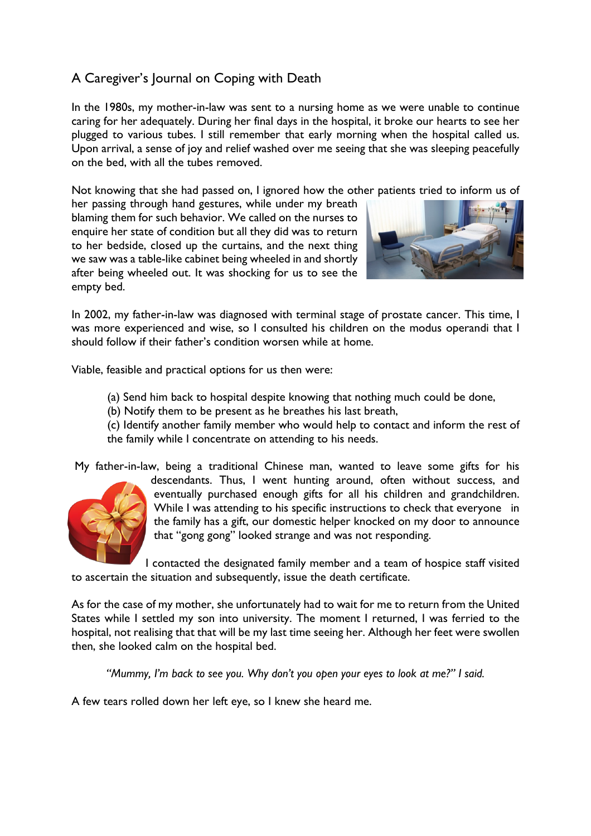## A Caregiver's Journal on Coping with Death

In the 1980s, my mother-in-law was sent to a nursing home as we were unable to continue caring for her adequately. During her final days in the hospital, it broke our hearts to see her plugged to various tubes. I still remember that early morning when the hospital called us. Upon arrival, a sense of joy and relief washed over me seeing that she was sleeping peacefully on the bed, with all the tubes removed.

Not knowing that she had passed on, I ignored how the other patients tried to inform us of

her passing through hand gestures, while under my breath blaming them for such behavior. We called on the nurses to enquire her state of condition but all they did was to return to her bedside, closed up the curtains, and the next thing we saw was a table-like cabinet being wheeled in and shortly after being wheeled out. It was shocking for us to see the empty bed.



In 2002, my father-in-law was diagnosed with terminal stage of prostate cancer. This time, I was more experienced and wise, so I consulted his children on the modus operandi that I should follow if their father's condition worsen while at home.

Viable, feasible and practical options for us then were:

- (a) Send him back to hospital despite knowing that nothing much could be done,
- (b) Notify them to be present as he breathes his last breath,

(c) Identify another family member who would help to contact and inform the rest of the family while I concentrate on attending to his needs.

My father-in-law, being a traditional Chinese man, wanted to leave some gifts for his



descendants. Thus, I went hunting around, often without success, and eventually purchased enough gifts for all his children and grandchildren. While I was attending to his specific instructions to check that everyone in the family has a gift, our domestic helper knocked on my door to announce that "gong gong" looked strange and was not responding.

I contacted the designated family member and a team of hospice staff visited to ascertain the situation and subsequently, issue the death certificate.

As for the case of my mother, she unfortunately had to wait for me to return from the United States while I settled my son into university. The moment I returned, I was ferried to the hospital, not realising that that will be my last time seeing her. Although her feet were swollen then, she looked calm on the hospital bed.

*"Mummy, I'm back to see you. Why don't you open your eyes to look at me?" I said.*

A few tears rolled down her left eye, so I knew she heard me.